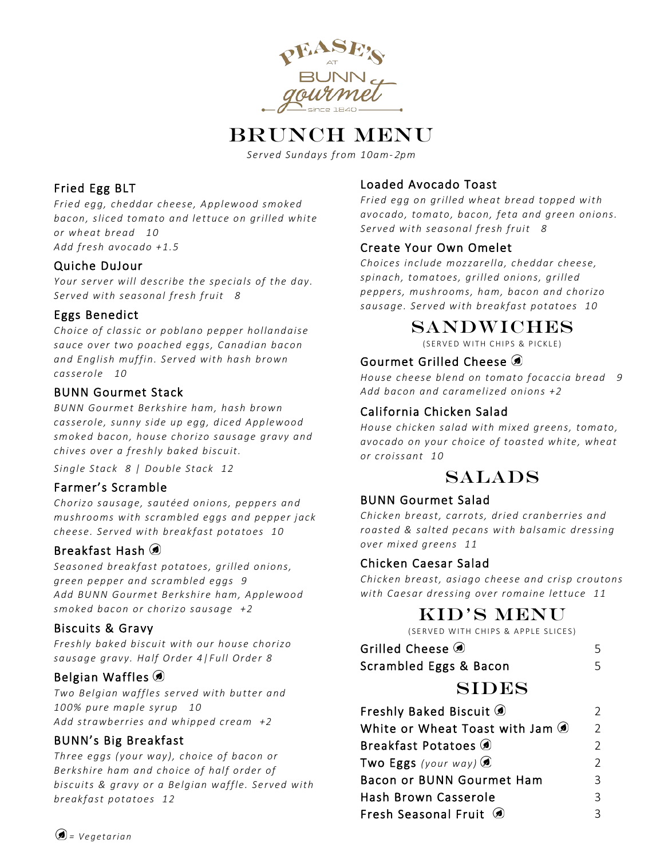

# BRUNCH MENU

*Served Sundays from 10am-*2*pm*

## Fried Egg BLT

*Fried egg, cheddar cheese, Applewood smoked bacon, sliced tomato and lettuce on grilled white or wheat bread 10 Add fresh avocado +1.5*

### Quiche DuJour

*Your server will describe the specials of the day. Served with seasonal fresh fruit 8* 

### Eggs Benedict

*Choice of classic or poblano pepper hollandaise sauce over two poached eggs, Canadian bacon and English muffin. Served with hash brown casserole 10*

### BUNN Gourmet Stack

*BUNN Gourmet Berkshire ham, hash brown casserole, sunny side up egg, diced Applewood smoked bacon, house chorizo sausage gravy and chives over a freshly baked biscuit.* 

*Single Stack 8 | Double Stack 12*

### Farmer's Scramble

*Chorizo sausage, sautéed onions, peppers and mushrooms with scrambled eggs and pepper jack cheese. Served with breakfast potatoes 10*

### Breakfast Hash

*Seasoned breakfast potatoes, grilled onions, green pepper and scrambled eggs 9 Add BUNN Gourmet Berkshire ham, Applewood smoked bacon or chorizo sausage +2*

### Biscuits & Gravy

*Freshly baked biscuit with our house chorizo sausage gravy. Half Order 4|Full Order 8*

### Belgian Waffles

*Two Belgian waffles served with butter and 100% pure maple syrup 10 Add strawberries and whipped cream +2*

### BUNN's Big Breakfast

*Three eggs ( your way), choice of bacon or Berkshire ham and choice of half order of biscuits & gravy or a Belgian waffle. Served with breakfast potatoes 12*

### Loaded Avocado Toast

*Fried egg on grilled wheat bread topped with avocado, tomato, bacon, feta and green onions. Served with seasonal fresh fruit 8* 

### Create Your Own Omelet

*Choices include mozzarella, cheddar cheese, spinach, tomatoes, grilled onions, grilled peppers, mushrooms, ham, bacon and chorizo sausage. Served with breakfast potatoes 10*

## Sandwiches

(SERVED WITH CHIPS & PICKLE )

### Gourmet Grilled Cheese (9)

*House cheese blend on tomato focaccia bread 9 Add bacon and caramelized onions +2*

### California Chicken Salad

*House chicken salad with mixed greens, tomato, avocado on your choice of toasted white, wheat or croissant 10*

## SALADS

### BUNN Gourmet Salad

*Chicken breast, carrots, dried cranberries and roasted & salted pecans with balsamic dressing over mixed greens 11*

### Chicken Caesar Salad

*Chicken breast, asiago cheese and crisp croutons with Caesar dressing over romaine lettuce 11*

## KID'S MENU

(SERVED WITH CHIPS & APPLE SLICES )

| Grilled Cheese                  | Ь             |
|---------------------------------|---------------|
| Scrambled Eggs & Bacon          |               |
| <b>SIDES</b>                    |               |
| Freshly Baked Biscuit (a)       | $\mathcal{P}$ |
| White or Wheat Toast with Jam ( | $\mathcal{P}$ |
| Breakfast Potatoes              | $\mathcal{D}$ |
| Two Eggs (your way)             |               |

| Bacon or BUNN Gourmet Ham | २ |
|---------------------------|---|
| Hash Brown Casserole      |   |
| Fresh Seasonal Fruit (2)  |   |